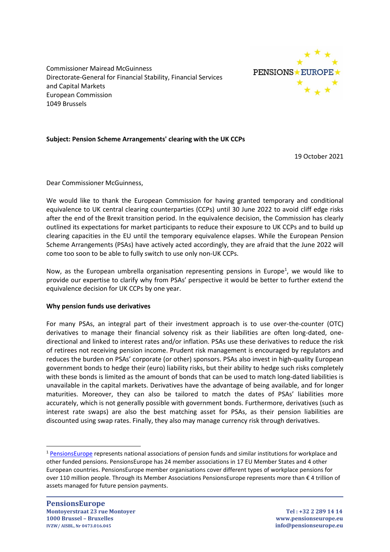Commissioner Mairead McGuinness Directorate-General for Financial Stability, Financial Services and Capital Markets European Commission 1049 Brussels



# **Subject: Pension Scheme Arrangements' clearing with the UK CCPs**

19 October 2021

Dear Commissioner McGuinness,

We would like to thank the European Commission for having granted temporary and conditional equivalence to UK central clearing counterparties (CCPs) until 30 June 2022 to avoid cliff edge risks after the end of the Brexit transition period. In the equivalence decision, the Commission has clearly outlined its expectations for market participants to reduce their exposure to UK CCPs and to build up clearing capacities in the EU until the temporary equivalence elapses. While the European Pension Scheme Arrangements (PSAs) have actively acted accordingly, they are afraid that the June 2022 will come too soon to be able to fully switch to use only non-UK CCPs.

Now, as the European umbrella organisation representing pensions in Europe<sup>1</sup>, we would like to provide our expertise to clarify why from PSAs' perspective it would be better to further extend the equivalence decision for UK CCPs by one year.

### **Why pension funds use derivatives**

For many PSAs, an integral part of their investment approach is to use over-the-counter (OTC) derivatives to manage their financial solvency risk as their liabilities are often long-dated, onedirectional and linked to interest rates and/or inflation. PSAs use these derivatives to reduce the risk of retirees not receiving pension income. Prudent risk management is encouraged by regulators and reduces the burden on PSAs' corporate (or other) sponsors. PSAs also invest in high-quality European government bonds to hedge their (euro) liability risks, but their ability to hedge such risks completely with these bonds is limited as the amount of bonds that can be used to match long-dated liabilities is unavailable in the capital markets. Derivatives have the advantage of being available, and for longer maturities. Moreover, they can also be tailored to match the dates of PSAs' liabilities more accurately, which is not generally possible with government bonds. Furthermore, derivatives (such as interest rate swaps) are also the best matching asset for PSAs, as their pension liabilities are discounted using swap rates. Finally, they also may manage currency risk through derivatives.

<sup>1</sup> [PensionsEurope](https://www.pensionseurope.eu/) represents national associations of pension funds and similar institutions for workplace and other funded pensions. PensionsEurope has 24 member associations in 17 EU Member States and 4 other European countries. PensionsEurope member organisations cover different types of workplace pensions for over 110 million people. Through its Member Associations PensionsEurope represents more than € 4 trillion of assets managed for future pension payments.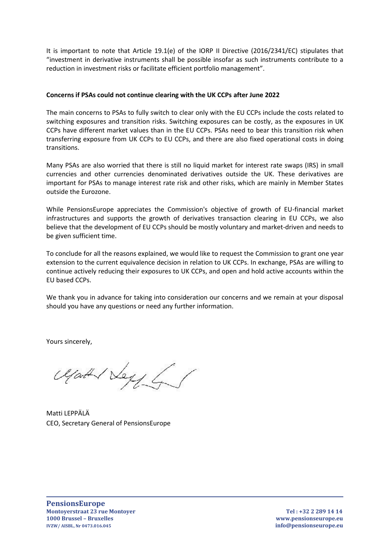It is important to note that Article 19.1(e) of the IORP II Directive (2016/2341/EC) stipulates that "investment in derivative instruments shall be possible insofar as such instruments contribute to a reduction in investment risks or facilitate efficient portfolio management".

# **Concerns if PSAs could not continue clearing with the UK CCPs after June 2022**

The main concerns to PSAs to fully switch to clear only with the EU CCPs include the costs related to switching exposures and transition risks. Switching exposures can be costly, as the exposures in UK CCPs have different market values than in the EU CCPs. PSAs need to bear this transition risk when transferring exposure from UK CCPs to EU CCPs, and there are also fixed operational costs in doing transitions.

Many PSAs are also worried that there is still no liquid market for interest rate swaps (IRS) in small currencies and other currencies denominated derivatives outside the UK. These derivatives are important for PSAs to manage interest rate risk and other risks, which are mainly in Member States outside the Eurozone.

While PensionsEurope appreciates the Commission's objective of growth of EU-financial market infrastructures and supports the growth of derivatives transaction clearing in EU CCPs, we also believe that the development of EU CCPs should be mostly voluntary and market-driven and needs to be given sufficient time.

To conclude for all the reasons explained, we would like to request the Commission to grant one year extension to the current equivalence decision in relation to UK CCPs. In exchange, PSAs are willing to continue actively reducing their exposures to UK CCPs, and open and hold active accounts within the EU based CCPs.

We thank you in advance for taking into consideration our concerns and we remain at your disposal should you have any questions or need any further information.

Yours sincerely,

Ugath Vey L

Matti LEPPÄLÄ CEO, Secretary General of PensionsEurope